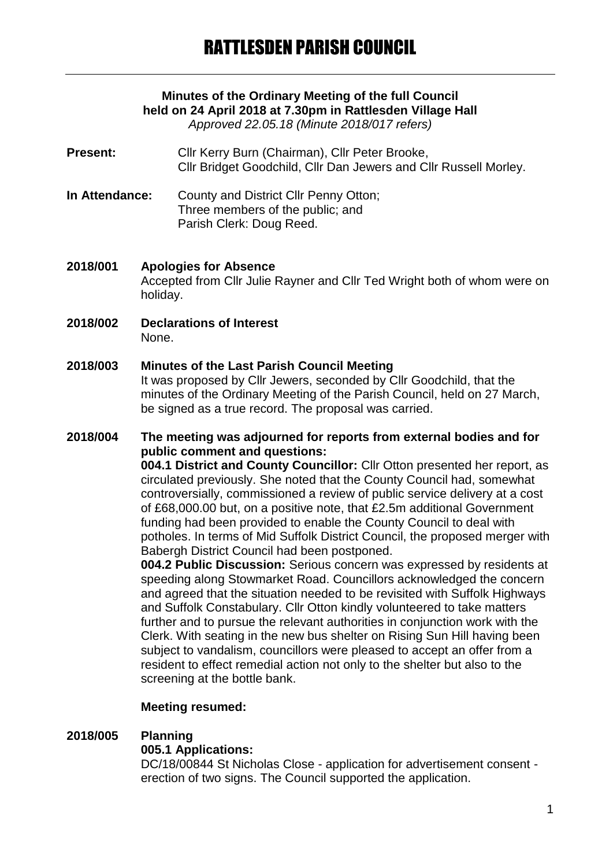# **Minutes of the Ordinary Meeting of the full Council held on 24 April 2018 at 7.30pm in Rattlesden Village Hall**

*Approved 22.05.18 (Minute 2018/017 refers)*

- Present: Cllr Kerry Burn (Chairman), Cllr Peter Brooke, Cllr Bridget Goodchild, Cllr Dan Jewers and Cllr Russell Morley.
- **In Attendance:** County and District Cllr Penny Otton; Three members of the public; and Parish Clerk: Doug Reed.
- **2018/001 Apologies for Absence** Accepted from Cllr Julie Rayner and Cllr Ted Wright both of whom were on holiday.
- **2018/002 Declarations of Interest** None.

# **2018/003 Minutes of the Last Parish Council Meeting**

It was proposed by Cllr Jewers, seconded by Cllr Goodchild, that the minutes of the Ordinary Meeting of the Parish Council, held on 27 March, be signed as a true record. The proposal was carried.

# **2018/004 The meeting was adjourned for reports from external bodies and for public comment and questions:**

**004.1 District and County Councillor:** Cllr Otton presented her report, as circulated previously. She noted that the County Council had, somewhat controversially, commissioned a review of public service delivery at a cost of £68,000.00 but, on a positive note, that £2.5m additional Government funding had been provided to enable the County Council to deal with potholes. In terms of Mid Suffolk District Council, the proposed merger with Babergh District Council had been postponed.

**004.2 Public Discussion:** Serious concern was expressed by residents at speeding along Stowmarket Road. Councillors acknowledged the concern and agreed that the situation needed to be revisited with Suffolk Highways and Suffolk Constabulary. Cllr Otton kindly volunteered to take matters further and to pursue the relevant authorities in conjunction work with the Clerk. With seating in the new bus shelter on Rising Sun Hill having been subject to vandalism, councillors were pleased to accept an offer from a resident to effect remedial action not only to the shelter but also to the screening at the bottle bank.

# **Meeting resumed:**

# **2018/005 Planning**

# **005.1 Applications:**

DC/18/00844 St Nicholas Close - application for advertisement consent erection of two signs. The Council supported the application.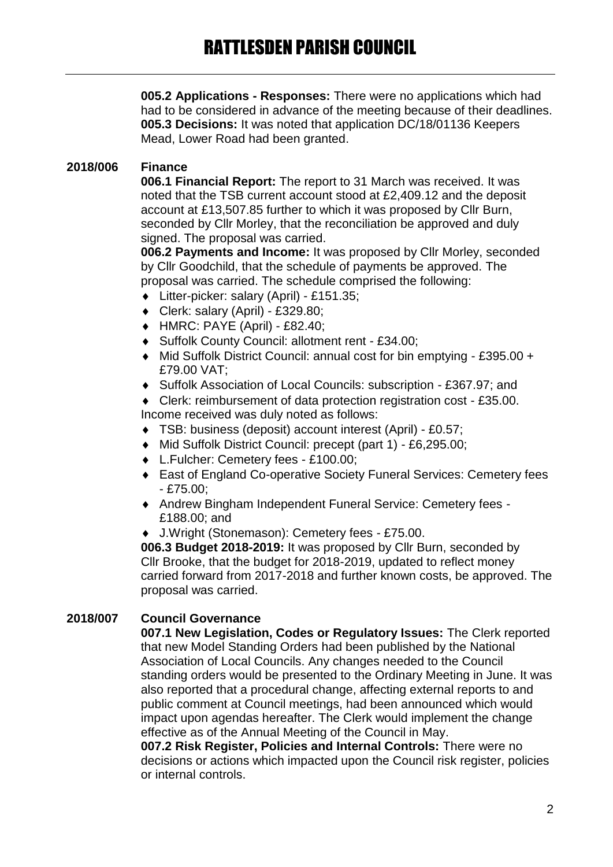**005.2 Applications - Responses:** There were no applications which had had to be considered in advance of the meeting because of their deadlines. **005.3 Decisions:** It was noted that application DC/18/01136 Keepers Mead, Lower Road had been granted.

# **2018/006 Finance**

**006.1 Financial Report:** The report to 31 March was received. It was noted that the TSB current account stood at £2,409.12 and the deposit account at £13,507.85 further to which it was proposed by Cllr Burn, seconded by Cllr Morley, that the reconciliation be approved and duly signed. The proposal was carried.

**006.2 Payments and Income:** It was proposed by Cllr Morley, seconded by Cllr Goodchild, that the schedule of payments be approved. The proposal was carried. The schedule comprised the following:

- Litter-picker: salary (April) £151.35;
- Clerk: salary (April) £329.80;
- $\leftrightarrow$  HMRC: PAYE (April) £82.40;
- ◆ Suffolk County Council: allotment rent £34.00:
- ◆ Mid Suffolk District Council: annual cost for bin emptying £395.00 + £79.00 VAT;
- Suffolk Association of Local Councils: subscription £367.97; and

 Clerk: reimbursement of data protection registration cost - £35.00. Income received was duly noted as follows:

- TSB: business (deposit) account interest (April) £0.57;
- Mid Suffolk District Council: precept (part 1) £6,295.00;
- L.Fulcher: Cemetery fees £100.00;
- ◆ East of England Co-operative Society Funeral Services: Cemetery fees - £75.00;
- Andrew Bingham Independent Funeral Service: Cemetery fees £188.00; and
- J.Wright (Stonemason): Cemetery fees £75.00.

**006.3 Budget 2018-2019:** It was proposed by Cllr Burn, seconded by Cllr Brooke, that the budget for 2018-2019, updated to reflect money carried forward from 2017-2018 and further known costs, be approved. The proposal was carried.

# **2018/007 Council Governance**

**007.1 New Legislation, Codes or Regulatory Issues:** The Clerk reported that new Model Standing Orders had been published by the National Association of Local Councils. Any changes needed to the Council standing orders would be presented to the Ordinary Meeting in June. It was also reported that a procedural change, affecting external reports to and public comment at Council meetings, had been announced which would impact upon agendas hereafter. The Clerk would implement the change effective as of the Annual Meeting of the Council in May.

**007.2 Risk Register, Policies and Internal Controls:** There were no decisions or actions which impacted upon the Council risk register, policies or internal controls.